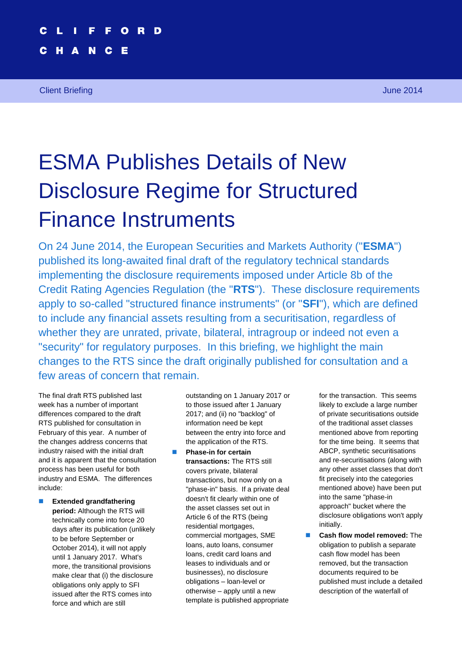## **ESMA Publishes Details of New Disclosure Regime for Structured Finance Instruments 1**

c

Е

N

# ESMA Publishes Details of New Disclosure Regime for Structured Finance Instruments

On 24 June 2014, the European Securities and Markets Authority ("**ESMA**") published its long-awaited final draft of the regulatory technical standards implementing the disclosure requirements imposed under Article 8b of the Credit Rating Agencies Regulation (the "**RTS**"). These disclosure requirements apply to so-called "structured finance instruments" (or "**SFI**"), which are defined to include any financial assets resulting from a securitisation, regardless of whether they are unrated, private, bilateral, intragroup or indeed not even a "security" for regulatory purposes. In this briefing, we highlight the main changes to the RTS since the draft originally published for consultation and a few areas of concern that remain.

The final draft RTS published last week has a number of important differences compared to the draft RTS published for consultation in February of this year. A number of the changes address concerns that industry raised with the initial draft and it is apparent that the consultation process has been useful for both industry and ESMA. The differences include:

**Extended grandfathering period:** Although the RTS will technically come into force 20 days after its publication (unlikely to be before September or October 2014), it will not apply until 1 January 2017. What's more, the transitional provisions make clear that (i) the disclosure obligations only apply to SFI issued after the RTS comes into force and which are still

outstanding on 1 January 2017 or to those issued after 1 January 2017; and (ii) no "backlog" of information need be kept between the entry into force and the application of the RTS.

**Phase-in for certain transactions:** The RTS still covers private, bilateral transactions, but now only on a "phase-in" basis. If a private deal doesn't fit clearly within one of the asset classes set out in Article 6 of the RTS (being residential mortgages, commercial mortgages, SME loans, auto loans, consumer loans, credit card loans and leases to individuals and or businesses), no disclosure obligations – loan-level or otherwise – apply until a new template is published appropriate

for the transaction. This seems likely to exclude a large number of private securitisations outside of the traditional asset classes mentioned above from reporting for the time being. It seems that ABCP, synthetic securitisations and re-securitisations (along with any other asset classes that don't fit precisely into the categories mentioned above) have been put into the same "phase-in approach" bucket where the disclosure obligations won't apply initially.

**Cash flow model removed:** The obligation to publish a separate cash flow model has been removed, but the transaction documents required to be published must include a detailed description of the waterfall of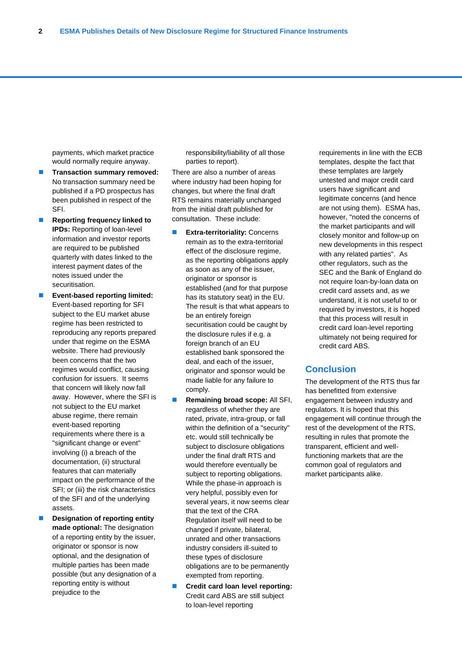payments, which market practice would normally require anyway.

- **Transaction summary removed:** No transaction summary need be published if a PD prospectus has been published in respect of the SFI.
- **Reporting frequency linked to IPDs:** Reporting of loan-level information and investor reports are required to be published quarterly with dates linked to the interest payment dates of the notes issued under the securitisation.
- **Event-based reporting limited:** Event-based reporting for SFI subject to the EU market abuse regime has been restricted to reproducing any reports prepared under that regime on the ESMA website. There had previously been concerns that the two regimes would conflict, causing confusion for issuers. It seems that concern will likely now fall away. However, where the SFI is not subject to the EU market abuse regime, there remain event-based reporting requirements where there is a "significant change or event" involving (i) a breach of the documentation, (ii) structural features that can materially impact on the performance of the SFI; or (iii) the risk characteristics of the SFI and of the underlying assets.
- **Designation of reporting entity made optional:** The designation of a reporting entity by the issuer, originator or sponsor is now optional, and the designation of multiple parties has been made possible (but any designation of a reporting entity is without prejudice to the

responsibility/liability of all those parties to report).

There are also a number of areas where industry had been hoping for changes, but where the final draft RTS remains materially unchanged from the initial draft published for consultation. These include:

- **Extra-territoriality: Concerns** remain as to the extra-territorial effect of the disclosure regime, as the reporting obligations apply as soon as any of the issuer, originator or sponsor is established (and for that purpose has its statutory seat) in the EU. The result is that what appears to be an entirely foreign securitisation could be caught by the disclosure rules if e.g. a foreign branch of an EU established bank sponsored the deal, and each of the issuer, originator and sponsor would be made liable for any failure to comply.
- **Remaining broad scope:** All SFI, regardless of whether they are rated, private, intra-group, or fall within the definition of a "security" etc. would still technically be subject to disclosure obligations under the final draft RTS and would therefore eventually be subject to reporting obligations. While the phase-in approach is very helpful, possibly even for several years, it now seems clear that the text of the CRA Regulation itself will need to be changed if private, bilateral, unrated and other transactions industry considers ill-suited to these types of disclosure obligations are to be permanently exempted from reporting.
- **Credit card loan level reporting:** Credit card ABS are still subject to loan-level reporting

requirements in line with the ECB templates, despite the fact that these templates are largely untested and major credit card users have significant and legitimate concerns (and hence are not using them). ESMA has, however, "noted the concerns of the market participants and will closely monitor and follow-up on new developments in this respect with any related parties". As other regulators, such as the SEC and the Bank of England do not require loan-by-loan data on credit card assets and, as we understand, it is not useful to or required by investors, it is hoped that this process will result in credit card loan-level reporting ultimately not being required for credit card ABS.

#### **Conclusion**

The development of the RTS thus far has benefitted from extensive engagement between industry and regulators. It is hoped that this engagement will continue through the rest of the development of the RTS, resulting in rules that promote the transparent, efficient and wellfunctioning markets that are the common goal of regulators and market participants alike.